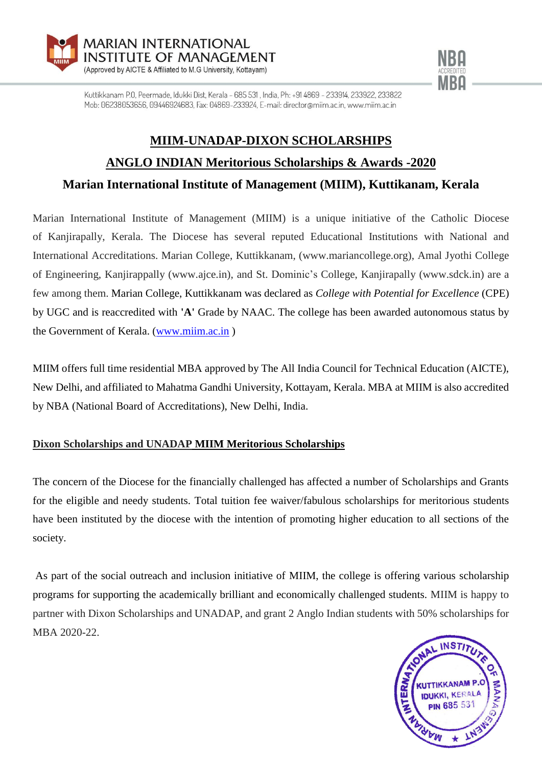



Kuttikkanam P.O. Peermade, Idukki Dist, Kerala - 685 531 , India, Ph: +91 4869 - 233914, 233922, 233822 Mob: 06238053656, 09446924683, Fax: 04869-233924, E-mail: director@miim.ac.in, www.miim.ac.in

# **MIIM-UNADAP-DIXON SCHOLARSHIPS ANGLO INDIAN Meritorious Scholarships & Awards -2020**

**Marian International Institute of Management (MIIM), Kuttikanam, Kerala**

Marian International Institute of Management (MIIM) is a unique initiative of the Catholic Diocese of Kanjirapally, Kerala. The Diocese has several reputed Educational Institutions with National and International Accreditations. Marian College, Kuttikkanam, (www.mariancollege.org), Amal Jyothi College of Engineering, Kanjirappally (www.ajce.in), and St. Dominic's College, Kanjirapally (www.sdck.in) are a few among them. Marian College, Kuttikkanam was declared as *College with Potential for Excellence* (CPE) by UGC and is reaccredited with **'A'** Grade by NAAC. The college has been awarded autonomous status by the Government of Kerala. [\(www.miim.ac.in](http://www.miim.ac.in/) )

MIIM offers full time residential MBA approved by The All India Council for Technical Education (AICTE), New Delhi, and affiliated to Mahatma Gandhi University, Kottayam, Kerala. MBA at MIIM is also accredited by NBA (National Board of Accreditations), New Delhi, India.

# **Dixon Scholarships and UNADAP MIIM Meritorious Scholarships**

The concern of the Diocese for the financially challenged has affected a number of Scholarships and Grants for the eligible and needy students. Total tuition fee waiver/fabulous scholarships for meritorious students have been instituted by the diocese with the intention of promoting higher education to all sections of the society.

As part of the social outreach and inclusion initiative of MIIM, the college is offering various scholarship programs for supporting the academically brilliant and economically challenged students. MIIM is happy to partner with Dixon Scholarships and UNADAP, and grant 2 Anglo Indian students with 50% scholarships for MBA 2020-22.

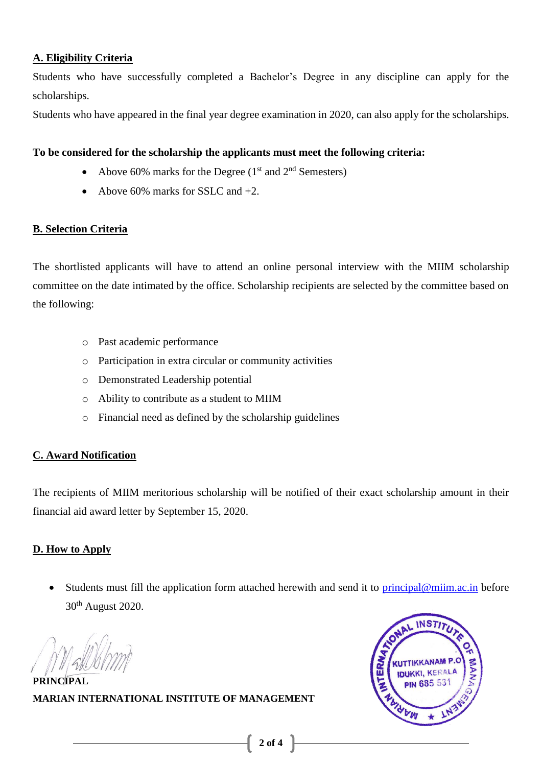### **A. Eligibility Criteria**

Students who have successfully completed a Bachelor's Degree in any discipline can apply for the scholarships.

Students who have appeared in the final year degree examination in 2020, can also apply for the scholarships.

### **To be considered for the scholarship the applicants must meet the following criteria:**

- Above 60% marks for the Degree  $(1<sup>st</sup>$  and  $2<sup>nd</sup>$  Semesters)
- Above 60% marks for SSLC and  $+2$ .

### **B. Selection Criteria**

The shortlisted applicants will have to attend an online personal interview with the MIIM scholarship committee on the date intimated by the office. Scholarship recipients are selected by the committee based on the following:

- o Past academic performance
- o Participation in extra circular or community activities
- o Demonstrated Leadership potential
- o Ability to contribute as a student to MIIM
- o Financial need as defined by the scholarship guidelines

# **C. Award Notification**

The recipients of MIIM meritorious scholarship will be notified of their exact scholarship amount in their financial aid award letter by September 15, 2020.

# **D. How to Apply**

Students must fill the application form attached herewith and send it to [principal@miim.ac.in](mailto:principal@miim.ac.in) before 30th August 2020.

**PRINCIPAL MARIAN INTERNATIONAL INSTITUTE OF MANAGEMENT**

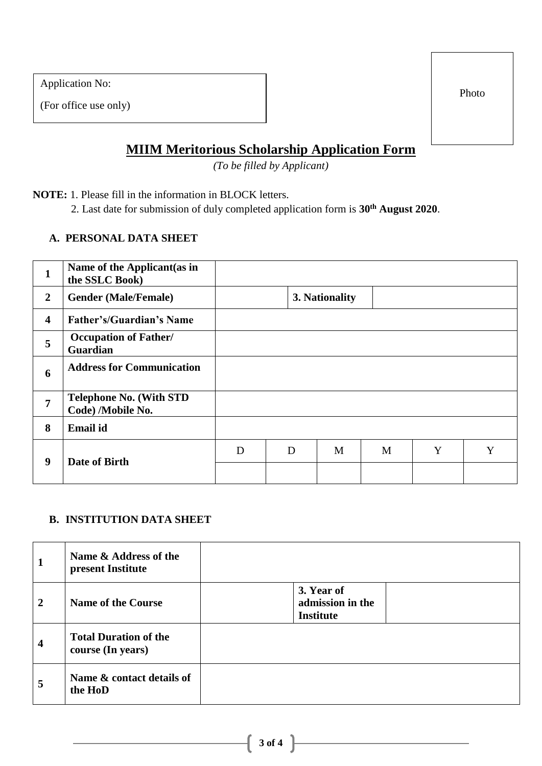Application No:

(For office use only)

Photo

# **MIIM Meritorious Scholarship Application Form**

*(To be filled by Applicant)*

**NOTE:** 1. Please fill in the information in BLOCK letters.

2. Last date for submission of duly completed application form is **30th August 2020**.

# **A. PERSONAL DATA SHEET**

| $\mathbf{1}$            | Name of the Applicant (as in<br>the SSLC Book)      |   |   |                |   |   |   |
|-------------------------|-----------------------------------------------------|---|---|----------------|---|---|---|
| $\overline{2}$          | <b>Gender (Male/Female)</b>                         |   |   | 3. Nationality |   |   |   |
| $\overline{\mathbf{4}}$ | <b>Father's/Guardian's Name</b>                     |   |   |                |   |   |   |
| 5                       | <b>Occupation of Father/</b><br>Guardian            |   |   |                |   |   |   |
| 6                       | <b>Address for Communication</b>                    |   |   |                |   |   |   |
| $\overline{7}$          | <b>Telephone No. (With STD</b><br>Code) /Mobile No. |   |   |                |   |   |   |
| 8                       | <b>Email</b> id                                     |   |   |                |   |   |   |
| 9                       | Date of Birth                                       | D | D | M              | M | Y | Y |
|                         |                                                     |   |   |                |   |   |   |

# **B. INSTITUTION DATA SHEET**

| $\mathbf{1}$            | Name & Address of the<br>present Institute        |                                                    |
|-------------------------|---------------------------------------------------|----------------------------------------------------|
| $\overline{2}$          | <b>Name of the Course</b>                         | 3. Year of<br>admission in the<br><b>Institute</b> |
| $\overline{\mathbf{4}}$ | <b>Total Duration of the</b><br>course (In years) |                                                    |
| 5                       | Name & contact details of<br>the HoD              |                                                    |